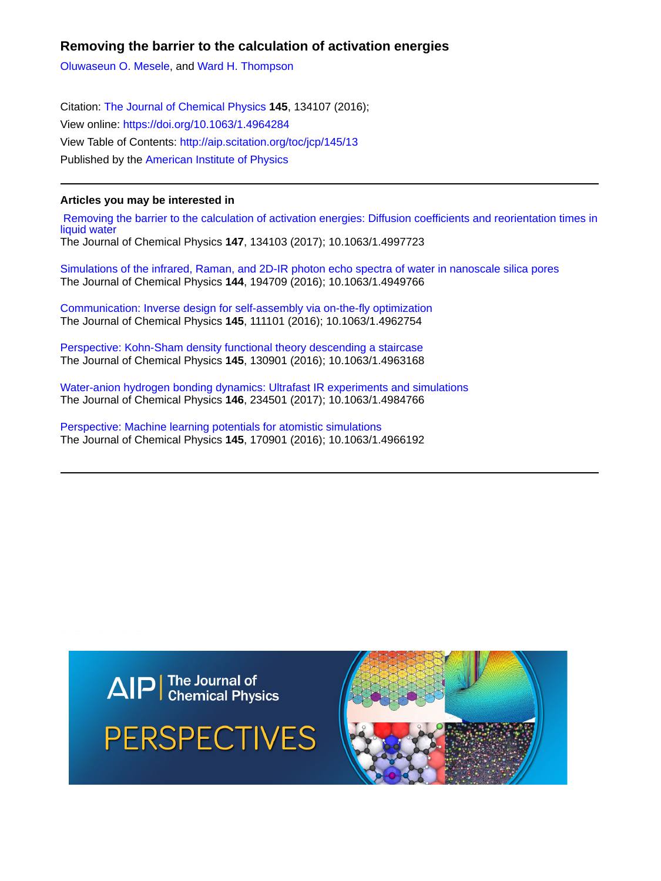# **Removing the barrier to the calculation of activation energies**

[Oluwaseun O. Mesele,](http://aip.scitation.org/author/Mesele%2C+Oluwaseun+O) and [Ward H. Thompson](http://aip.scitation.org/author/Thompson%2C+Ward+H)

Citation: [The Journal of Chemical Physics](/loi/jcp) **145**, 134107 (2016); View online: <https://doi.org/10.1063/1.4964284> View Table of Contents: <http://aip.scitation.org/toc/jcp/145/13> Published by the [American Institute of Physics](http://aip.scitation.org/publisher/)

# **Articles you may be interested in**

 [Removing the barrier to the calculation of activation energies: Diffusion coefficients and reorientation times in](http://aip.scitation.org/doi/abs/10.1063/1.4997723) [liquid water](http://aip.scitation.org/doi/abs/10.1063/1.4997723)

The Journal of Chemical Physics **147**, 134103 (2017); 10.1063/1.4997723

[Simulations of the infrared, Raman, and 2D-IR photon echo spectra of water in nanoscale silica pores](http://aip.scitation.org/doi/abs/10.1063/1.4949766) The Journal of Chemical Physics **144**, 194709 (2016); 10.1063/1.4949766

[Communication: Inverse design for self-assembly via on-the-fly optimization](http://aip.scitation.org/doi/abs/10.1063/1.4962754) The Journal of Chemical Physics **145**, 111101 (2016); 10.1063/1.4962754

[Perspective: Kohn-Sham density functional theory descending a staircase](http://aip.scitation.org/doi/abs/10.1063/1.4963168) The Journal of Chemical Physics **145**, 130901 (2016); 10.1063/1.4963168

[Water-anion hydrogen bonding dynamics: Ultrafast IR experiments and simulations](http://aip.scitation.org/doi/abs/10.1063/1.4984766) The Journal of Chemical Physics **146**, 234501 (2017); 10.1063/1.4984766

[Perspective: Machine learning potentials for atomistic simulations](http://aip.scitation.org/doi/abs/10.1063/1.4966192) The Journal of Chemical Physics **145**, 170901 (2016); 10.1063/1.4966192



**PERSPECTIVES** 

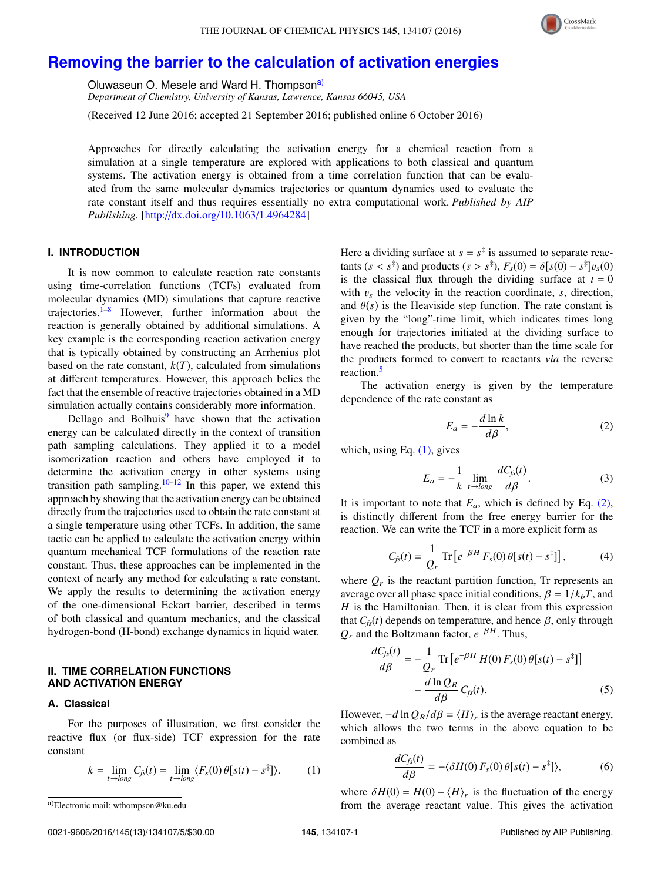

# **[Removing the barrier to the calculation of activation energies](http://dx.doi.org/10.1063/1.4964284)**

Oluwaseun O. Mesele and Ward H. Thompson<sup>[a\)](#page-1-0)</sup>

*Department of Chemistry, University of Kansas, Lawrence, Kansas 66045, USA*

(Received 12 June 2016; accepted 21 September 2016; published online 6 October 2016)

Approaches for directly calculating the activation energy for a chemical reaction from a simulation at a single temperature are explored with applications to both classical and quantum systems. The activation energy is obtained from a time correlation function that can be evaluated from the same molecular dynamics trajectories or quantum dynamics used to evaluate the rate constant itself and thus requires essentially no extra computational work. *Published by AIP Publishing.* [\[http:](http://dx.doi.org/10.1063/1.4964284)//[dx.doi.org](http://dx.doi.org/10.1063/1.4964284)/[10.1063](http://dx.doi.org/10.1063/1.4964284)/[1.4964284\]](http://dx.doi.org/10.1063/1.4964284)

## **I. INTRODUCTION**

It is now common to calculate reaction rate constants using time-correlation functions (TCFs) evaluated from molecular dynamics (MD) simulations that capture reactive trajectories. $1-8$  $1-8$  However, further information about the reaction is generally obtained by additional simulations. A key example is the corresponding reaction activation energy that is typically obtained by constructing an Arrhenius plot based on the rate constant,  $k(T)$ , calculated from simulations at different temperatures. However, this approach belies the fact that the ensemble of reactive trajectories obtained in a MD simulation actually contains considerably more information.

Dellago and Bolhuis $9$  have shown that the activation energy can be calculated directly in the context of transition path sampling calculations. They applied it to a model isomerization reaction and others have employed it to determine the activation energy in other systems using transition path sampling.<sup>[10](#page-5-3)[–12](#page-5-4)</sup> In this paper, we extend this approach by showing that the activation energy can be obtained directly from the trajectories used to obtain the rate constant at a single temperature using other TCFs. In addition, the same tactic can be applied to calculate the activation energy within quantum mechanical TCF formulations of the reaction rate constant. Thus, these approaches can be implemented in the context of nearly any method for calculating a rate constant. We apply the results to determining the activation energy of the one-dimensional Eckart barrier, described in terms of both classical and quantum mechanics, and the classical hydrogen-bond (H-bond) exchange dynamics in liquid water.

## **II. TIME CORRELATION FUNCTIONS AND ACTIVATION ENERGY**

## **A. Classical**

For the purposes of illustration, we first consider the reactive flux (or flux-side) TCF expression for the rate constant

$$
k = \lim_{t \to long} C_{fs}(t) = \lim_{t \to long} \langle F_s(0) \theta[s(t) - s^{\ddagger}]\rangle.
$$
 (1)

Here a dividing surface at  $s = s^{\ddagger}$  is assumed to separate reactants  $(s < s^{\ddagger})$  and products  $(s > s^{\ddagger})$ ,  $F_s(0) = \delta[s(0) - s^{\ddagger}]v_s(0)$ <br>is the classical flux through the dividing surface at  $t = 0$ is the classical flux through the dividing surface at  $t = 0$ with  $v_s$  the velocity in the reaction coordinate,  $s$ , direction, and  $\theta(s)$  is the Heaviside step function. The rate constant is given by the "long"-time limit, which indicates times long enough for trajectories initiated at the dividing surface to have reached the products, but shorter than the time scale for the products formed to convert to reactants *via* the reverse reaction.[5](#page-5-5)

The activation energy is given by the temperature dependence of the rate constant as

<span id="page-1-2"></span>
$$
E_a = -\frac{d \ln k}{d\beta},\tag{2}
$$

which, using Eq.  $(1)$ , gives

$$
E_a = -\frac{1}{k} \lim_{t \to long} \frac{dC_{fs}(t)}{d\beta}.
$$
 (3)

It is important to note that  $E_a$ , which is defined by Eq.  $(2)$ , is distinctly different from the free energy barrier for the reaction. We can write the TCF in a more explicit form as

$$
C_{fs}(t) = \frac{1}{Q_r} \operatorname{Tr} \left[ e^{-\beta H} F_s(0) \theta[s(t) - s^{\ddagger}] \right],\tag{4}
$$

where  $Q_r$  is the reactant partition function, Tr represents an average over all phase space initial conditions,  $\beta = 1/k_bT$ , and *H* is the Hamiltonian. Then, it is clear from this expression that  $C_f(t)$  depends on temperature, and hence  $\beta$ , only through  $Q_r$  and the Boltzmann factor,  $e^{-\beta H}$ . Thus,

$$
\frac{dC_{fs}(t)}{d\beta} = -\frac{1}{Q_r} \text{Tr} \left[ e^{-\beta H} H(0) F_s(0) \theta [s(t) - s^{\frac{1}{3}}] \right]
$$

$$
- \frac{d \ln Q_R}{d\beta} C_{fs}(t). \tag{5}
$$

However,  $-d \ln Q_R/d\beta = \langle H \rangle_r$  is the average reactant energy,<br>which allows the two terms in the above equation to be which allows the two terms in the above equation to be combined as

$$
\frac{dC_{fs}(t)}{d\beta} = -\langle \delta H(0) F_s(0) \theta [s(t) - s^{\ddagger}]\rangle, \tag{6}
$$

<span id="page-1-1"></span>where  $\delta H(0) = H(0) - \langle H \rangle_r$  is the fluctuation of the energy<br>from the average reactant value. This gives the activation from the average reactant value. This gives the activation

<span id="page-1-0"></span>a)Electronic mail: [wthompson@ku.edu](mailto:wthompson@ku.edu)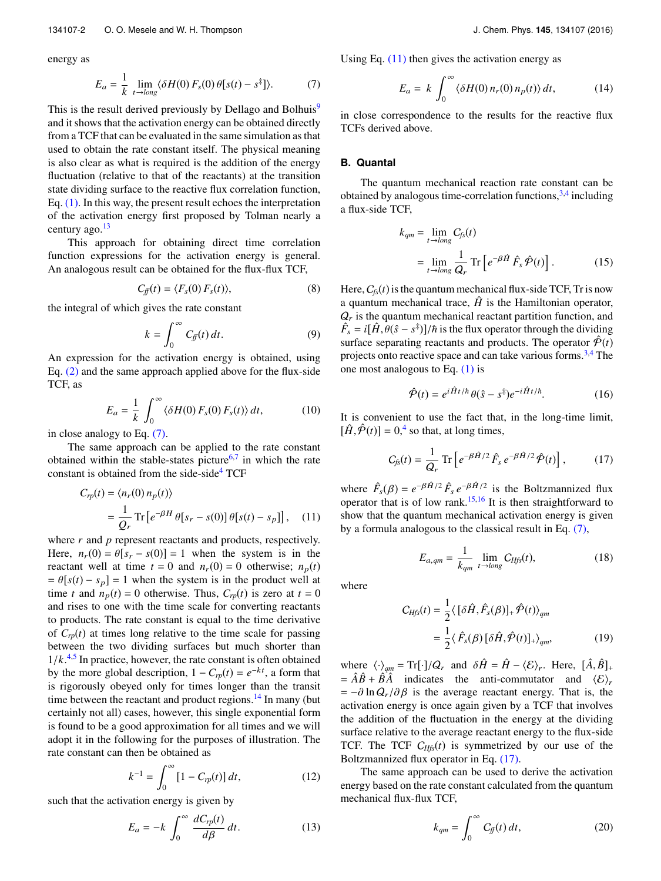energy as

$$
E_a = \frac{1}{k} \lim_{t \to \log} \langle \delta H(0) F_s(0) \theta [s(t) - s^{\ddagger}]\rangle.
$$
 (7)

This is the result derived previously by Dellago and Bolhuis<sup>[9](#page-5-2)</sup> and it shows that the activation energy can be obtained directly from a TCF that can be evaluated in the same simulation as that used to obtain the rate constant itself. The physical meaning is also clear as what is required is the addition of the energy fluctuation (relative to that of the reactants) at the transition state dividing surface to the reactive flux correlation function, Eq. [\(1\).](#page-1-1) In this way, the present result echoes the interpretation of the activation energy first proposed by Tolman nearly a century ago.<sup>[13](#page-5-6)</sup>

This approach for obtaining direct time correlation function expressions for the activation energy is general. An analogous result can be obtained for the flux-flux TCF,

$$
C_{ff}(t) = \langle F_s(0) F_s(t) \rangle, \tag{8}
$$

the integral of which gives the rate constant

$$
k = \int_0^\infty C_f(t) \, dt. \tag{9}
$$

An expression for the activation energy is obtained, using Eq. [\(2\)](#page-1-2) and the same approach applied above for the flux-side TCF, as

$$
E_a = \frac{1}{k} \int_0^\infty \langle \delta H(0) F_s(0) F_s(t) \rangle dt, \tag{10}
$$

in close analogy to Eq. [\(7\).](#page-2-0)

The same approach can be applied to the rate constant obtained within the stable-states picture<sup>[6](#page-5-7)[,7](#page-5-8)</sup> in which the rate constant is obtained from the side-side $4$  TCF

$$
C_{rp}(t) = \langle n_r(0) n_p(t) \rangle
$$
  
= 
$$
\frac{1}{Q_r} \text{Tr} \left[ e^{-\beta H} \theta[s_r - s(0)] \theta[s(t) - s_p] \right], \quad (11)
$$

where *r* and *p* represent reactants and products, respectively. Here,  $n_r(0) = \theta[s_r - s(0)] = 1$  when the system is in the reactant well at time  $t = 0$  and  $n_r(0) = 0$  otherwise;  $n_p(t)$  $= \theta[s(t) - s_p] = 1$  when the system is in the product well at time *t* and  $n_p(t) = 0$  otherwise. Thus,  $C_{rp}(t)$  is zero at  $t = 0$ and rises to one with the time scale for converting reactants to products. The rate constant is equal to the time derivative of  $C_{rp}(t)$  at times long relative to the time scale for passing between the two dividing surfaces but much shorter than  $1/k^{4,5}$  $1/k^{4,5}$  $1/k^{4,5}$  $1/k^{4,5}$  In practice, however, the rate constant is often obtained<br>by the more alobal description  $1 - C_1(t) = e^{-kt}$  a form that by the more global description,  $1 - C_{rp}(t) = e^{-kt}$ , a form that is rigorously obeyed only for times longer than the transit time between the reactant and product regions.<sup>[14](#page-5-10)</sup> In many (but certainly not all) cases, however, this single exponential form is found to be a good approximation for all times and we will adopt it in the following for the purposes of illustration. The rate constant can then be obtained as

$$
k^{-1} = \int_0^\infty [1 - C_{rp}(t)] dt,
$$
 (12)

such that the activation energy is given by

$$
E_a = -k \int_0^\infty \frac{dC_{rp}(t)}{d\beta} dt.
$$
 (13)

<span id="page-2-0"></span>Using Eq.  $(11)$  then gives the activation energy as

<span id="page-2-4"></span>
$$
E_a = k \int_0^\infty \langle \delta H(0) n_r(0) n_p(t) \rangle dt, \qquad (14)
$$

in close correspondence to the results for the reactive flux TCFs derived above.

#### **B. Quantal**

The quantum mechanical reaction rate constant can be obtained by analogous time-correlation functions, [3,](#page-5-11)[4](#page-5-9) including a flux-side TCF,

$$
k_{qm} = \lim_{t \to long} C_{fs}(t)
$$
  
= 
$$
\lim_{t \to long} \frac{1}{Q_r} \text{Tr} \left[ e^{-\beta \hat{H}} \hat{F}_s \hat{\mathcal{P}}(t) \right].
$$
 (15)

Here,  $C_{fs}(t)$  is the quantum mechanical flux-side TCF, Tr is now a quantum mechanical trace,  $\hat{H}$  is the Hamiltonian operator,  $Q<sub>r</sub>$  is the quantum mechanical reactant partition function, and  $\hat{F}_s = i[\hat{H}, \hat{\theta}(\hat{s} - s^{\dagger})]/\hbar$  is the flux operator through the dividing<br>surface separating reactants and products. The operator  $\hat{\mathcal{P}}(t)$ surface separating reactants and products. The operator  $\hat{\mathcal{P}}(t)$ projects onto reactive space and can take various forms.<sup>[3](#page-5-11)[,4](#page-5-9)</sup> The one most analogous to Eq.  $(1)$  is

<span id="page-2-2"></span>
$$
\hat{\mathcal{P}}(t) = e^{i\hat{H}t/\hbar} \theta(\hat{s} - s^{\ddagger}) e^{-i\hat{H}t/\hbar}.
$$
 (16)

It is convenient to use the fact that, in the long-time limit,  $[\hat{H}, \hat{\mathcal{P}}(t)] = 0,^4$  $[\hat{H}, \hat{\mathcal{P}}(t)] = 0,^4$  so that, at long times,

$$
C_{fs}(t) = \frac{1}{Q_r} \operatorname{Tr} \left[ e^{-\beta \hat{H}/2} \hat{F}_s e^{-\beta \hat{H}/2} \hat{\mathcal{P}}(t) \right],\tag{17}
$$

<span id="page-2-1"></span>where  $\hat{F}_s(\beta) = e^{-\beta \hat{H}/2} \hat{F}_s e^{-\beta \hat{H}/2}$  is the Boltzmannized flux<br>operator that is of low rank <sup>15,16</sup> It is then straightforward to operator that is of low rank.<sup>[15](#page-5-12)[,16](#page-5-13)</sup> It is then straightforward to show that the quantum mechanical activation energy is given by a formula analogous to the classical result in Eq. [\(7\),](#page-2-0)

$$
E_{a,qm} = \frac{1}{k_{qm}} \lim_{t \to long} C_{Hfs}(t), \tag{18}
$$

where

$$
C_{Hfs}(t) = \frac{1}{2} \langle [\delta \hat{H}, \hat{F}_s(\beta)]_+ \hat{\mathcal{P}}(t) \rangle_{qm}
$$
  
= 
$$
\frac{1}{2} \langle \hat{F}_s(\beta) [\delta \hat{H}, \hat{\mathcal{P}}(t)]_+ \rangle_{qm},
$$
 (19)

where  $\langle \cdot \rangle_{qm} = \text{Tr}[\cdot]/Q_r$  and  $\delta \hat{H} = \hat{H} - \langle \mathcal{E} \rangle_r$ . Here,  $[\hat{A}, \hat{B}]_+$ <br>-  $\hat{A} \hat{B} + \hat{B} \hat{A}$  indicates the anti-commutator and  $\langle \mathcal{E} \rangle$  $= \hat{A}\hat{B} + \hat{B}\hat{A}$  indicates the anti-commutator and  $\langle \mathcal{E} \rangle_r$  $= -\partial \ln Q_r / \partial \beta$  is the average reactant energy. That is, the activation energy is once again given by a TCF that involves the addition of the fluctuation in the energy at the dividing surface relative to the average reactant energy to the flux-side TCF. The TCF C*Hfs*(*t*) is symmetrized by our use of the Boltzmannized flux operator in Eq. [\(17\).](#page-2-2)

The same approach can be used to derive the activation energy based on the rate constant calculated from the quantum mechanical flux-flux TCF,

<span id="page-2-3"></span>
$$
k_{qm} = \int_0^\infty C_{ff}(t) \, dt,\tag{20}
$$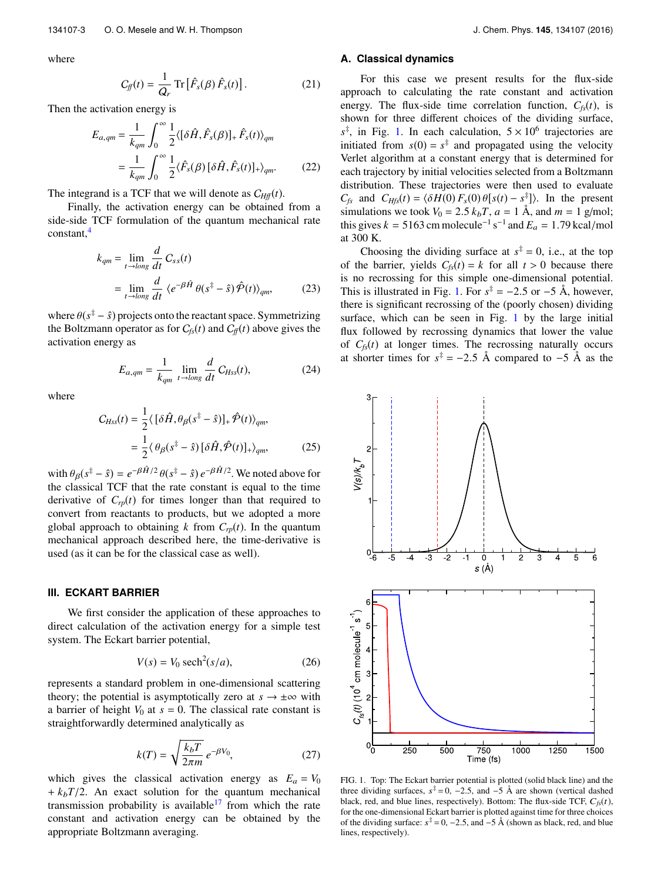where

$$
C_{ff}(t) = \frac{1}{Q_r} \operatorname{Tr} \left[ \hat{F}_s(\beta) \hat{F}_s(t) \right]. \tag{21}
$$

Then the activation energy is

$$
E_{a,qm} = \frac{1}{k_{qm}} \int_0^\infty \frac{1}{2} \langle [\delta \hat{H}, \hat{F}_s(\beta)]_+ \hat{F}_s(t) \rangle_{qm}
$$
  
= 
$$
\frac{1}{k_{qm}} \int_0^\infty \frac{1}{2} \langle \hat{F}_s(\beta) [\delta \hat{H}, \hat{F}_s(t)]_+ \rangle_{qm}.
$$
 (22)

The integrand is a TCF that we will denote as  $C_{Hff}(t)$ .

Finally, the activation energy can be obtained from a side-side TCF formulation of the quantum mechanical rate constant,[4](#page-5-9)

$$
k_{qm} = \lim_{t \to \log} \frac{d}{dt} C_{ss}(t)
$$
  
= 
$$
\lim_{t \to \log} \frac{d}{dt} \langle e^{-\beta \hat{H}} \theta(s^{\ddagger} - \hat{s}) \hat{\mathcal{P}}(t) \rangle_{qm},
$$
(23)

where  $\theta(s^{\ddagger} - \hat{s})$  projects onto the reactant space. Symmetrizing the Boltzmann operator as for  $C_{\epsilon}(t)$  and  $C_{\epsilon}(t)$  above gives the the Boltzmann operator as for  $C_{fs}(t)$  and  $C_{ff}(t)$  above gives the activation energy as

$$
E_{a,qm} = \frac{1}{k_{qm}} \lim_{t \to \log} \frac{d}{dt} C_{Hss}(t), \tag{24}
$$

where

$$
C_{Hss}(t) = \frac{1}{2} \langle [\delta \hat{H}, \theta_{\beta}(s^{\ddagger} - \hat{s})]_{+} \hat{\mathcal{P}}(t) \rangle_{qm},
$$
  
= 
$$
\frac{1}{2} \langle \theta_{\beta}(s^{\ddagger} - \hat{s}) [\delta \hat{H}, \hat{\mathcal{P}}(t)]_{+} \rangle_{qm},
$$
(25)

with  $\theta_{\beta}(s^{\ddagger} - \hat{s}) = e^{-\beta \hat{H}/2} \theta(s^{\ddagger} - \hat{s}) e^{-\beta \hat{H}/2}$ . We noted above for the classical TCE that the rate constant is equal to the time the classical TCF that the rate constant is equal to the time derivative of  $C_{rp}(t)$  for times longer than that required to convert from reactants to products, but we adopted a more global approach to obtaining *k* from  $C_{rp}(t)$ . In the quantum mechanical approach described here, the time-derivative is used (as it can be for the classical case as well).

## **III. ECKART BARRIER**

We first consider the application of these approaches to direct calculation of the activation energy for a simple test system. The Eckart barrier potential,

$$
V(s) = V_0 \operatorname{sech}^2(s/a),\tag{26}
$$

represents a standard problem in one-dimensional scattering theory; the potential is asymptotically zero at  $s \to \pm \infty$  with a barrier of height  $V_0$  at  $s = 0$ . The classical rate constant is straightforwardly determined analytically as

$$
k(T) = \sqrt{\frac{k_b T}{2\pi m}} e^{-\beta V_0},\tag{27}
$$

which gives the classical activation energy as  $E_a = V_0$  $+ k<sub>b</sub>T/2$ . An exact solution for the quantum mechanical transmission probability is available<sup>[17](#page-5-14)</sup> from which the rate constant and activation energy can be obtained by the appropriate Boltzmann averaging.

#### **A. Classical dynamics**

<span id="page-3-1"></span>For this case we present results for the flux-side approach to calculating the rate constant and activation energy. The flux-side time correlation function,  $C_f(t)$ , is shown for three different choices of the dividing surface,  $s^{\ddagger}$ , in Fig. [1.](#page-3-0) In each calculation,  $5 \times 10^6$  trajectories are initiated from  $s(0) = s^{\ddagger}$  and propagated using the velocity Verlet algorithm at a constant energy that is determined for each trajectory by initial velocities selected from a Boltzmann distribution. These trajectories were then used to evaluate *C<sub>fs</sub>* and *C<sub>Hfs</sub>*(*t*) =  $\langle \delta H(0) F_s(0) \theta [s(t) - s^{\frac{1}{2}}] \rangle$ . In the present simulations we took  $V_s = 2.5 k \cdot T$ ,  $a = 1$ ,  $\lambda$  and  $m = 1$ ,  $a/m$ ol simulations we took  $V_0 = 2.5 k_b T$ ,  $a = 1$  Å, and  $m = 1$  g/mol; this gives  $k = 5163$  cm molecule<sup>-1</sup> s<sup>-1</sup> and  $E_a = 1.79$  kcal/mol at 300 K.

Choosing the dividing surface at  $s^{\ddagger} = 0$ , i.e., at the top of the barrier, yields  $C_f(s) = k$  for all  $t > 0$  because there is no recrossing for this simple one-dimensional potential. This is illustrated in Fig. [1.](#page-3-0) For  $s^{\ddagger} = -2.5$  or  $-5$  Å, however, there is significant recrossing of the (poorly chosen) dividing there is significant recrossing of the (poorly chosen) dividing surface, which can be seen in Fig. [1](#page-3-0) by the large initial flux followed by recrossing dynamics that lower the value of  $C_{fs}(t)$  at longer times. The recrossing naturally occurs at shorter times for  $s^{\ddagger} = -2.5$  Å compared to  $-5$  Å as the

<span id="page-3-0"></span>

FIG. 1. Top: The Eckart barrier potential is plotted (solid black line) and the three dividing surfaces,  $s^{\ddagger} = 0$ , -2.5, and -5 Å are shown (vertical dashed black, red, and blue lines, respectively). Bottom: The flux-side TCF,  $C_{fs}(t)$ , for the one-dimensional Eckart barrier is plotted against time for three choices of the dividing surface:  $s^{\ddagger} = 0$ , -2.5, and -5 Å (shown as black, red, and blue lines, respectively).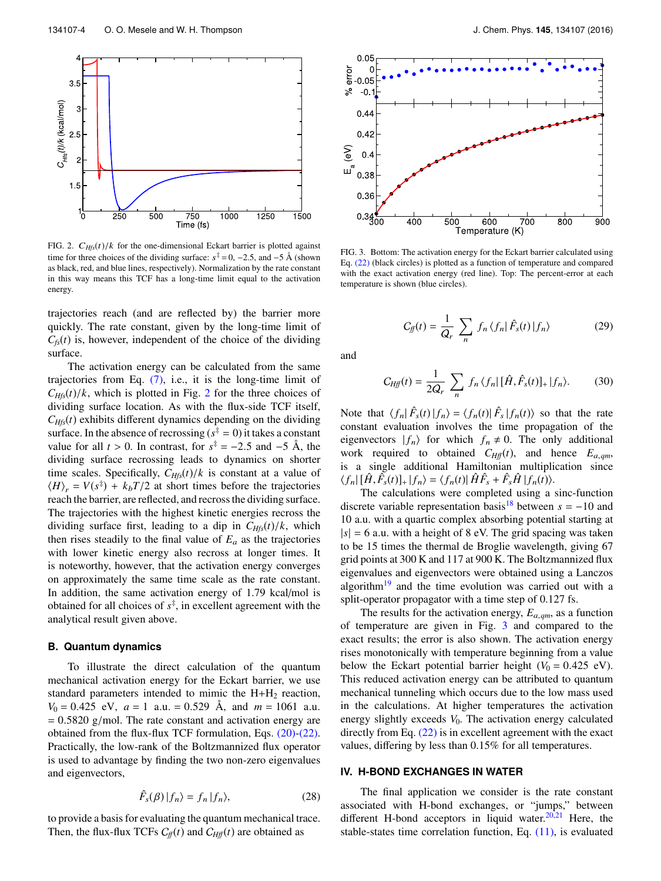<span id="page-4-0"></span>

FIG. 2.  $C_{Hfs}(t)/k$  for the one-dimensional Eckart barrier is plotted against time for three choices of the dividing surface:  $s^{\ddagger} = 0$ , -2.5, and -5 Å (shown as black, red, and blue lines, respectively). Normalization by the rate constant in this way means this TCF has a long-time limit equal to the activation energy.

trajectories reach (and are reflected by) the barrier more quickly. The rate constant, given by the long-time limit of  $C_f(t)$  is, however, independent of the choice of the dividing surface.

The activation energy can be calculated from the same trajectories from Eq.  $(7)$ , i.e., it is the long-time limit of  $C_{Hfs}(t)/k$ , which is plotted in Fig. [2](#page-4-0) for the three choices of dividing surface location. As with the flux-side TCF itself,  $C_{Hfs}(t)$  exhibits different dynamics depending on the dividing surface. In the absence of recrossing  $(s^{\ddagger} = 0)$  it takes a constant value for all  $t > 0$ . In contrast, for  $s^{\ddagger} = -2.5$  and  $-5$  Å, the dividing surface recrossing leads to dynamics on shorter dividing surface recrossing leads to dynamics on shorter time scales. Specifically,  $C_{Hfs}(t)/k$  is constant at a value of  $\langle H \rangle_r = V(s^{\ddagger}) + k_b T/2$  at short times before the trajectories reach the barrier, are reflected, and recross the dividing surface. The trajectories with the highest kinetic energies recross the dividing surface first, leading to a dip in  $C_{Hfs}(t)/k$ , which then rises steadily to the final value of  $E_a$  as the trajectories with lower kinetic energy also recross at longer times. It is noteworthy, however, that the activation energy converges on approximately the same time scale as the rate constant. In addition, the same activation energy of 1.79 kcal/mol is obtained for all choices of *s* ‡ , in excellent agreement with the analytical result given above.

#### **B. Quantum dynamics**

To illustrate the direct calculation of the quantum mechanical activation energy for the Eckart barrier, we use standard parameters intended to mimic the  $H + H<sub>2</sub>$  reaction,  $V_0 = 0.425$  eV,  $a = 1$  a.u. = 0.529 Å, and  $m = 1061$  a.u.  $= 0.5820$  g/mol. The rate constant and activation energy are obtained from the flux-flux TCF formulation, Eqs. [\(20\)-](#page-2-3)[\(22\).](#page-3-1) Practically, the low-rank of the Boltzmannized flux operator is used to advantage by finding the two non-zero eigenvalues and eigenvectors,

$$
\hat{F}_s(\beta)|f_n\rangle = f_n|f_n\rangle,\tag{28}
$$

to provide a basis for evaluating the quantum mechanical trace. Then, the flux-flux TCFs  $C_f(t)$  and  $C_{Hf}(t)$  are obtained as

<span id="page-4-1"></span>

FIG. 3. Bottom: The activation energy for the Eckart barrier calculated using Eq. [\(22\)](#page-3-1) (black circles) is plotted as a function of temperature and compared with the exact activation energy (red line). Top: The percent-error at each temperature is shown (blue circles).

$$
C_{ff}(t) = \frac{1}{Q_r} \sum_n f_n \langle f_n | \hat{F}_s(t) | f_n \rangle \tag{29}
$$

and

$$
C_{Hf}(t) = \frac{1}{2Q_r} \sum_n f_n \langle f_n | [\hat{H}, \hat{F}_s(t)]_+ | f_n \rangle.
$$
 (30)

Note that  $\langle f_n | \hat{F}_s(t) | f_n \rangle = \langle f_n(t) | \hat{F}_s | f_n(t) \rangle$  so that the rate constant evaluation involves the time propagation of the eigenvectors  $|f_n\rangle$  for which  $f_n \neq 0$ . The only additional work required to obtained  $C_{Hf}(t)$ , and hence  $E_{a,qm}$ , is a single additional Hamiltonian multiplication since  $\langle f_n | [\hat{H}, \hat{F}_s(t)]_+ | f_n \rangle = \langle f_n(t) | \hat{H} \hat{F}_s + \hat{F}_s \hat{H} | f_n(t) \rangle.$  The calculations were completed using a

The calculations were completed using a sinc-function discrete variable representation basis<sup>[18](#page-5-15)</sup> between  $s = -10$  and 10 a.u. with a quartic complex absorbing potential starting at  $|s| = 6$  a.u. with a height of 8 eV. The grid spacing was taken to be 15 times the thermal de Broglie wavelength, giving 67 grid points at 300 K and 117 at 900 K. The Boltzmannized flux eigenvalues and eigenvectors were obtained using a Lanczos algorithm $19$  and the time evolution was carried out with a split-operator propagator with a time step of 0.127 fs.

The results for the activation energy, *<sup>E</sup>*<sup>a</sup>,*qm*, as a function of temperature are given in Fig. [3](#page-4-1) and compared to the exact results; the error is also shown. The activation energy rises monotonically with temperature beginning from a value below the Eckart potential barrier height  $(V_0 = 0.425 \text{ eV})$ . This reduced activation energy can be attributed to quantum mechanical tunneling which occurs due to the low mass used in the calculations. At higher temperatures the activation energy slightly exceeds  $V_0$ . The activation energy calculated directly from Eq. [\(22\)](#page-3-1) is in excellent agreement with the exact values, differing by less than 0.15% for all temperatures.

#### **IV. H-BOND EXCHANGES IN WATER**

The final application we consider is the rate constant associated with H-bond exchanges, or "jumps," between different H-bond acceptors in liquid water. $20,21$  $20,21$  Here, the stable-states time correlation function, Eq. [\(11\),](#page-2-1) is evaluated